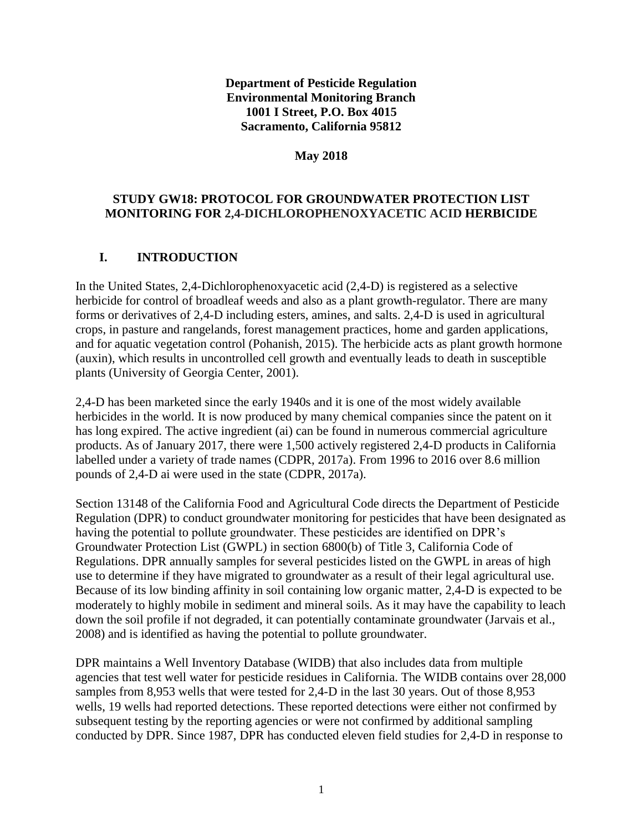### **Department of Pesticide Regulation Environmental Monitoring Branch 1001 I Street, P.O. Box 4015 Sacramento, California 95812**

#### **May 2018**

### **STUDY GW18: PROTOCOL FOR GROUNDWATER PROTECTION LIST MONITORING FOR 2,4-DICHLOROPHENOXYACETIC ACID HERBICIDE**

### **I. INTRODUCTION**

In the United States, 2,4-Dichlorophenoxyacetic acid (2,4-D) is registered as a selective herbicide for control of broadleaf weeds and also as a plant growth-regulator. There are many forms or derivatives of 2,4-D including esters, amines, and salts. 2,4-D is used in agricultural crops, in pasture and rangelands, forest management practices, home and garden applications, and for aquatic vegetation control (Pohanish, 2015). The herbicide acts as plant growth hormone [\(auxin\)](https://en.wikipedia.org/wiki/Auxin), which results in uncontrolled cell growth and eventually leads to death in susceptible plants (University of Georgia Center, 2001).

2,4-D has been marketed since the early 1940s and it is one of the most widely available herbicides in the world. It is now produced by many chemical companies since the patent on it has long expired. The active ingredient (ai) can be found in numerous commercial agriculture products. As of January 2017, there were 1,500 actively registered 2,4-D products in California labelled under a variety of trade names (CDPR, 2017a). From 1996 to 2016 over 8.6 million pounds of 2,4-D ai were used in the state (CDPR, 2017a).

Section 13148 of the California Food and Agricultural Code directs the Department of Pesticide Regulation (DPR) to conduct groundwater monitoring for pesticides that have been designated as having the potential to pollute groundwater. These pesticides are identified on DPR's Groundwater Protection List (GWPL) in section 6800(b) of Title 3, California Code of Regulations. DPR annually samples for several pesticides listed on the GWPL in areas of high use to determine if they have migrated to groundwater as a result of their legal agricultural use. Because of its low binding affinity in soil containing low organic matter, 2,4-D is expected to be moderately to highly mobile in sediment and mineral soils. As it may have the capability to leach down the soil profile if not degraded, it can potentially contaminate groundwater (Jarvais et al., 2008) and is identified as having the potential to pollute groundwater.

DPR maintains a Well Inventory Database (WIDB) that also includes data from multiple agencies that test well water for pesticide residues in California. The WIDB contains over 28,000 samples from 8,953 wells that were tested for 2,4-D in the last 30 years. Out of those 8,953 wells, 19 wells had reported detections. These reported detections were either not confirmed by subsequent testing by the reporting agencies or were not confirmed by additional sampling conducted by DPR. Since 1987, DPR has conducted eleven field studies for 2,4-D in response to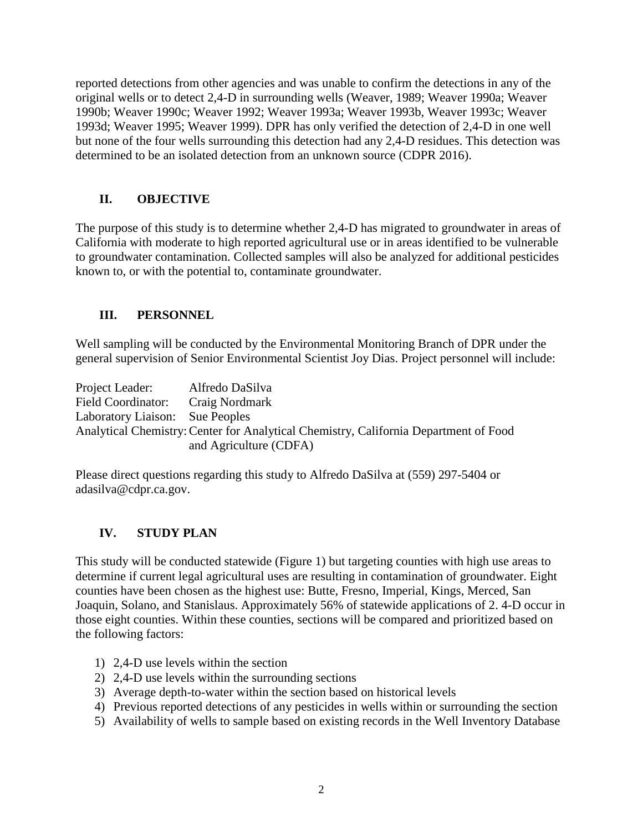reported detections from other agencies and was unable to confirm the detections in any of the original wells or to detect 2,4-D in surrounding wells (Weaver, 1989; Weaver 1990a; Weaver 1990b; Weaver 1990c; Weaver 1992; Weaver 1993a; Weaver 1993b, Weaver 1993c; Weaver 1993d; Weaver 1995; Weaver 1999). DPR has only verified the detection of 2,4-D in one well but none of the four wells surrounding this detection had any 2,4-D residues. This detection was determined to be an isolated detection from an unknown source (CDPR 2016).

## **II. OBJECTIVE**

The purpose of this study is to determine whether 2,4-D has migrated to groundwater in areas of California with moderate to high reported agricultural use or in areas identified to be vulnerable to groundwater contamination. Collected samples will also be analyzed for additional pesticides known to, or with the potential to, contaminate groundwater.

## **III. PERSONNEL**

Well sampling will be conducted by the Environmental Monitoring Branch of DPR under the general supervision of Senior Environmental Scientist Joy Dias. Project personnel will include:

Project Leader: Alfredo DaSilva Field Coordinator: Craig Nordmark Laboratory Liaison: Sue Peoples Analytical Chemistry: Center for Analytical Chemistry, California Department of Food and Agriculture (CDFA)

Please direct questions regarding this study to Alfredo DaSilva at (559) 297-5404 or [adasilva@cdpr.ca.gov.](mailto:adasilva@cdpr.ca.gov)

## **IV. STUDY PLAN**

This study will be conducted statewide (Figure 1) but targeting counties with high use areas to determine if current legal agricultural uses are resulting in contamination of groundwater. Eight counties have been chosen as the highest use: Butte, Fresno, Imperial, Kings, Merced, San Joaquin, Solano, and Stanislaus. Approximately 56% of statewide applications of 2. 4-D occur in those eight counties. Within these counties, sections will be compared and prioritized based on the following factors:

- 1) 2,4-D use levels within the section
- 2) 2,4-D use levels within the surrounding sections
- 3) Average depth-to-water within the section based on historical levels
- 4) Previous reported detections of any pesticides in wells within or surrounding the section
- 5) Availability of wells to sample based on existing records in the Well Inventory Database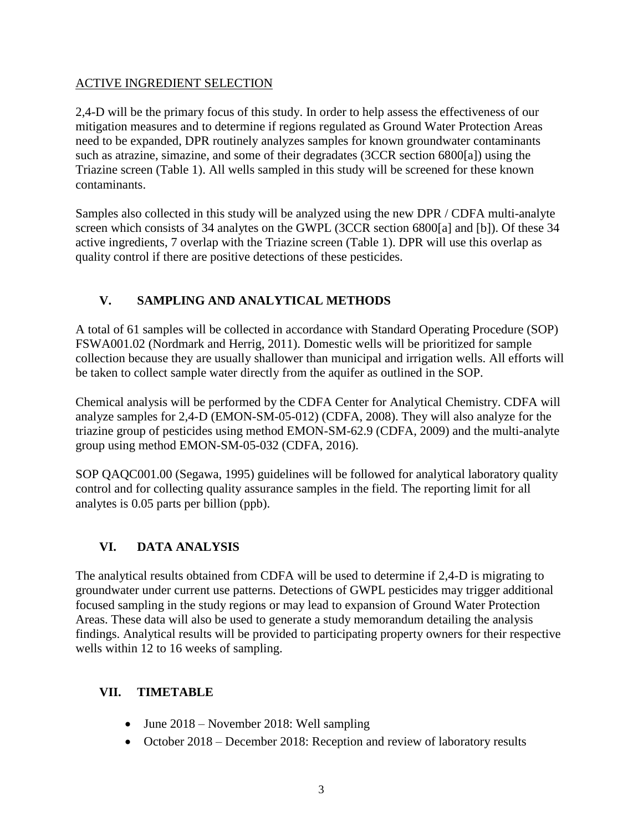### ACTIVE INGREDIENT SELECTION

2,4-D will be the primary focus of this study. In order to help assess the effectiveness of our mitigation measures and to determine if regions regulated as Ground Water Protection Areas need to be expanded, DPR routinely analyzes samples for known groundwater contaminants such as atrazine, simazine, and some of their degradates (3CCR section 6800[a]) using the Triazine screen (Table 1). All wells sampled in this study will be screened for these known contaminants.

Samples also collected in this study will be analyzed using the new DPR / CDFA multi-analyte screen which consists of 34 analytes on the GWPL (3CCR section 6800[a] and [b]). Of these 34 active ingredients, 7 overlap with the Triazine screen (Table 1). DPR will use this overlap as quality control if there are positive detections of these pesticides.

# **V. SAMPLING AND ANALYTICAL METHODS**

A total of 61 samples will be collected in accordance with Standard Operating Procedure (SOP) FSWA001.02 (Nordmark and Herrig, 2011). Domestic wells will be prioritized for sample collection because they are usually shallower than municipal and irrigation wells. All efforts will be taken to collect sample water directly from the aquifer as outlined in the SOP.

Chemical analysis will be performed by the CDFA Center for Analytical Chemistry. CDFA will analyze samples for 2,4-D (EMON-SM-05-012) (CDFA, 2008). They will also analyze for the triazine group of pesticides using method EMON-SM-62.9 (CDFA, 2009) and the multi-analyte group using method EMON-SM-05-032 (CDFA, 2016).

SOP QAQC001.00 (Segawa, 1995) guidelines will be followed for analytical laboratory quality control and for collecting quality assurance samples in the field. The reporting limit for all analytes is 0.05 parts per billion (ppb).

## **VI. DATA ANALYSIS**

The analytical results obtained from CDFA will be used to determine if 2,4-D is migrating to groundwater under current use patterns. Detections of GWPL pesticides may trigger additional focused sampling in the study regions or may lead to expansion of Ground Water Protection Areas. These data will also be used to generate a study memorandum detailing the analysis findings. Analytical results will be provided to participating property owners for their respective wells within 12 to 16 weeks of sampling.

### **VII. TIMETABLE**

- June 2018 November 2018: Well sampling
- October 2018 December 2018: Reception and review of laboratory results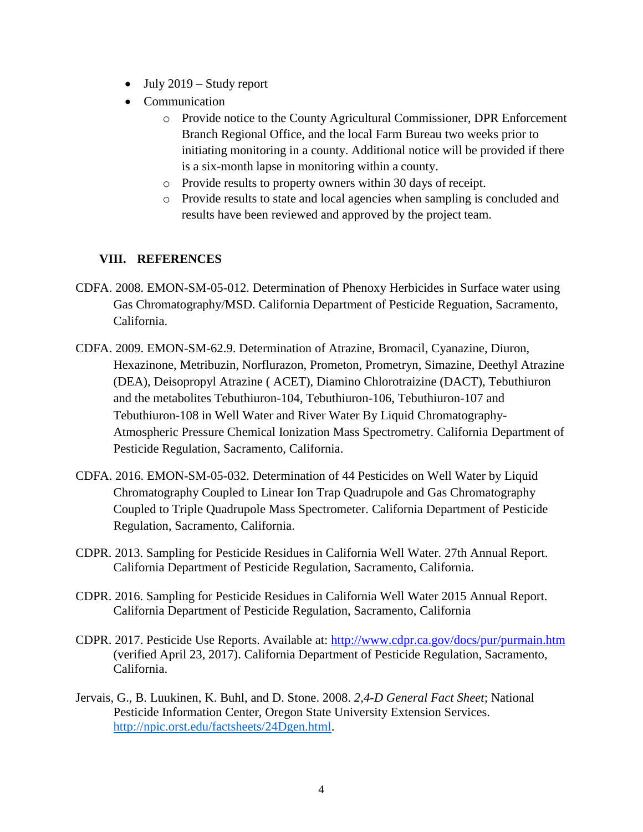- $\bullet$  July 2019 Study report
- Communication
	- o Provide notice to the County Agricultural Commissioner, DPR Enforcement Branch Regional Office, and the local Farm Bureau two weeks prior to initiating monitoring in a county. Additional notice will be provided if there is a six-month lapse in monitoring within a county.
	- o Provide results to property owners within 30 days of receipt.
	- o Provide results to state and local agencies when sampling is concluded and results have been reviewed and approved by the project team.

## **VIII. REFERENCES**

- CDFA. 2008. EMON-SM-05-012. Determination of Phenoxy Herbicides in Surface water using Gas Chromatography/MSD. California Department of Pesticide Reguation, Sacramento, California.
- CDFA. 2009. EMON-SM-62.9. Determination of Atrazine, Bromacil, Cyanazine, Diuron, Hexazinone, Metribuzin, Norflurazon, Prometon, Prometryn, Simazine, Deethyl Atrazine (DEA), Deisopropyl Atrazine ( ACET), Diamino Chlorotraizine (DACT), Tebuthiuron and the metabolites Tebuthiuron-104, Tebuthiuron-106, Tebuthiuron-107 and Tebuthiuron-108 in Well Water and River Water By Liquid Chromatography-Atmospheric Pressure Chemical Ionization Mass Spectrometry. California Department of Pesticide Regulation, Sacramento, California.
- CDFA. 2016. EMON-SM-05-032. Determination of 44 Pesticides on Well Water by Liquid Chromatography Coupled to Linear Ion Trap Quadrupole and Gas Chromatography Coupled to Triple Quadrupole Mass Spectrometer. California Department of Pesticide Regulation, Sacramento, California.
- CDPR. 2013. Sampling for Pesticide Residues in California Well Water. 27th Annual Report. California Department of Pesticide Regulation, Sacramento, California.
- CDPR. 2016. Sampling for Pesticide Residues in California Well Water 2015 Annual Report. California Department of Pesticide Regulation, Sacramento, California
- CDPR. 2017. Pesticide Use Reports. Available at: <http://www.cdpr.ca.gov/docs/pur/purmain.htm> (verified April 23, 2017). California Department of Pesticide Regulation, Sacramento, California.
- Jervais, G., B. Luukinen, K. Buhl, and D. Stone. 2008. *2,4-D General Fact Sheet*; National Pesticide Information Center, Oregon State University Extension Services. [http://npic.orst.edu/factsheets/24Dgen.html.](http://npic.orst.edu/factsheets/24Dgen.html)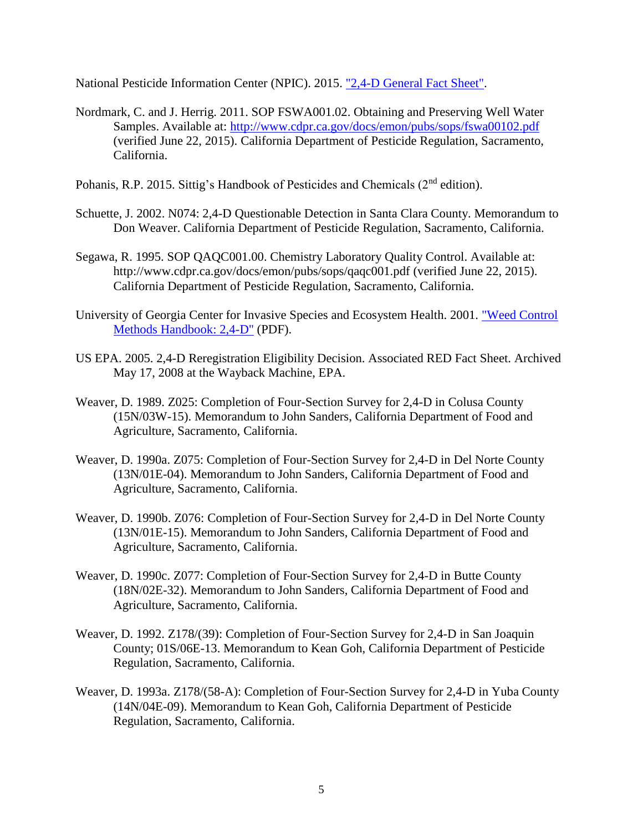National Pesticide Information Center (NPIC). 2015. ["2,4-D General Fact Sheet".](http://npic.orst.edu/factsheets/24Dgen.html)

- Nordmark, C. and J. Herrig. 2011. SOP FSWA001.02. Obtaining and Preserving Well Water Samples. Available at: http://www.cdpr.ca.gov/docs/emon/pubs/sops/fswa00102.pdf (verified June 22, 2015). California Department of Pesticide Regulation, Sacramento, California.
- Pohanis, R.P. 2015. Sittig's Handbook of Pesticides and Chemicals (2<sup>nd</sup> edition).
- Schuette, J. 2002. N074: 2,4-D Questionable Detection in Santa Clara County. Memorandum to Don Weaver. California Department of Pesticide Regulation, Sacramento, California.
- Segawa, R. 1995. SOP QAQC001.00. Chemistry Laboratory Quality Control. Available at: <http://www.cdpr.ca.gov/docs/emon/pubs/sops/qaqc001.pdf> (verified June 22, 2015). California Department of Pesticide Regulation, Sacramento, California.
- University of Georgia Center for Invasive Species and Ecosystem Health. 2001. ["Weed Control](http://www.invasive.org/gist/products/handbook/10.24-d.pdf)  [Methods Handbook: 2,4-D"](http://www.invasive.org/gist/products/handbook/10.24-d.pdf) (PDF).
- US EPA. 2005. 2,4-D Reregistration Eligibility Decision. Associated RED Fact Sheet. Archived May 17, 2008 at the Wayback Machine, EPA.
- Weaver, D. 1989. Z025: Completion of Four-Section Survey for 2,4-D in Colusa County (15N/03W-15). Memorandum to John Sanders, California Department of Food and Agriculture, Sacramento, California.
- Weaver, D. 1990a. Z075: Completion of Four-Section Survey for 2,4-D in Del Norte County (13N/01E-04). Memorandum to John Sanders, California Department of Food and Agriculture, Sacramento, California.
- Weaver, D. 1990b. Z076: Completion of Four-Section Survey for 2,4-D in Del Norte County (13N/01E-15). Memorandum to John Sanders, California Department of Food and Agriculture, Sacramento, California.
- Weaver, D. 1990c. Z077: Completion of Four-Section Survey for 2,4-D in Butte County (18N/02E-32). Memorandum to John Sanders, California Department of Food and Agriculture, Sacramento, California.
- Weaver, D. 1992. Z178/(39): Completion of Four-Section Survey for 2,4-D in San Joaquin County; 01S/06E-13. Memorandum to Kean Goh, California Department of Pesticide Regulation, Sacramento, California.
- Weaver, D. 1993a. Z178/(58-A): Completion of Four-Section Survey for 2,4-D in Yuba County (14N/04E-09). Memorandum to Kean Goh, California Department of Pesticide Regulation, Sacramento, California.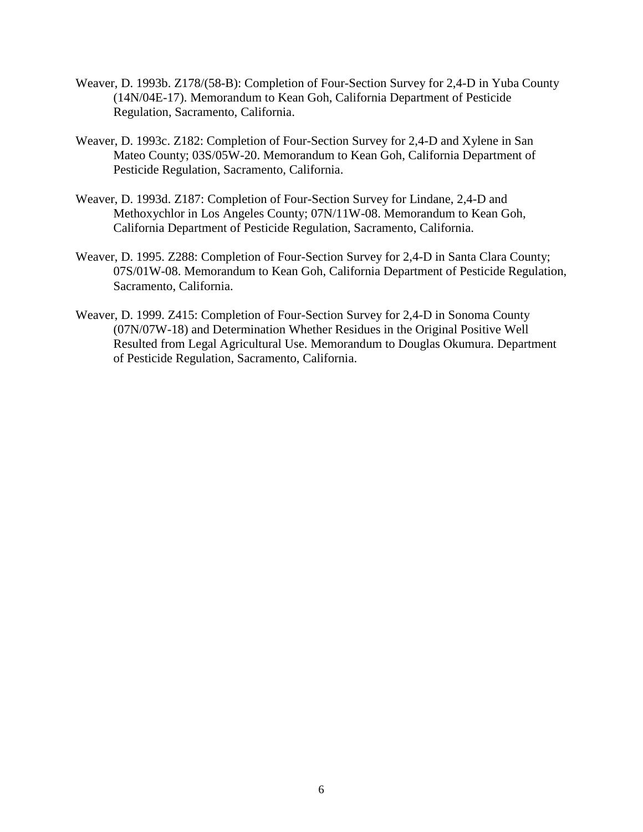- Weaver, D. 1993b. Z178/(58-B): Completion of Four-Section Survey for 2,4-D in Yuba County (14N/04E-17). Memorandum to Kean Goh, California Department of Pesticide Regulation, Sacramento, California.
- Weaver, D. 1993c. Z182: Completion of Four-Section Survey for 2,4-D and Xylene in San Mateo County; 03S/05W-20. Memorandum to Kean Goh, California Department of Pesticide Regulation, Sacramento, California.
- Weaver, D. 1993d. Z187: Completion of Four-Section Survey for Lindane, 2,4-D and Methoxychlor in Los Angeles County; 07N/11W-08. Memorandum to Kean Goh, California Department of Pesticide Regulation, Sacramento, California.
- Weaver, D. 1995. Z288: Completion of Four-Section Survey for 2,4-D in Santa Clara County; 07S/01W-08. Memorandum to Kean Goh, California Department of Pesticide Regulation, Sacramento, California.
- Weaver, D. 1999. Z415: Completion of Four-Section Survey for 2,4-D in Sonoma County (07N/07W-18) and Determination Whether Residues in the Original Positive Well Resulted from Legal Agricultural Use. Memorandum to Douglas Okumura. Department of Pesticide Regulation, Sacramento, California.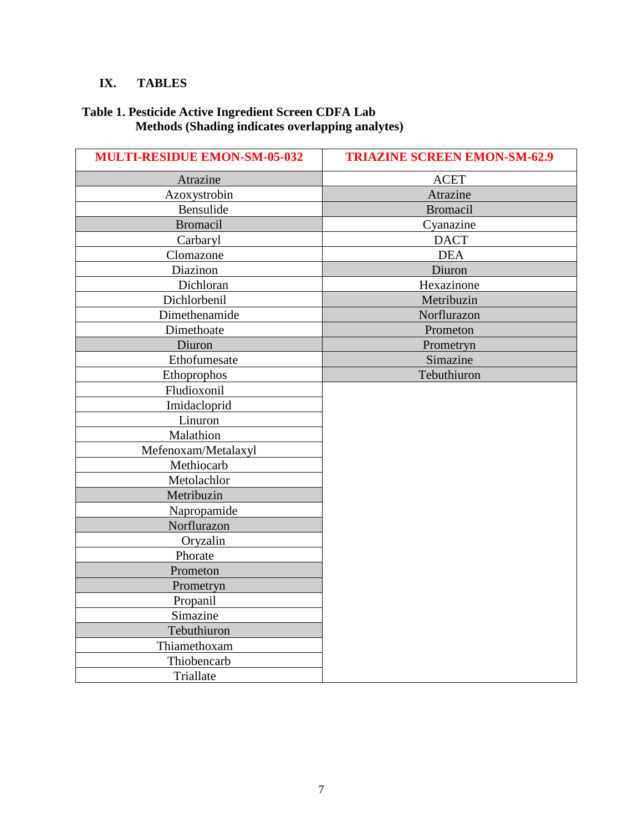# **IX. TABLES**

#### **Table 1. Pesticide Active Ingredient Screen CDFA Lab Methods (Shading indicates overlapping analytes)**

| <b>MULTI-RESIDUE EMON-SM-05-032</b> | <b>TRIAZINE SCREEN EMON-SM-62.9</b> |
|-------------------------------------|-------------------------------------|
| Atrazine                            | <b>ACET</b>                         |
| Azoxystrobin                        | Atrazine                            |
| Bensulide                           | <b>Bromacil</b>                     |
| <b>Bromacil</b>                     | Cyanazine                           |
| Carbaryl                            | <b>DACT</b>                         |
| Clomazone                           | <b>DEA</b>                          |
| Diazinon                            | Diuron                              |
| Dichloran                           | Hexazinone                          |
| Dichlorbenil                        | Metribuzin                          |
| Dimethenamide                       | Norflurazon                         |
| Dimethoate                          | Prometon                            |
| Diuron                              | Prometryn                           |
| Ethofumesate                        | Simazine                            |
| Ethoprophos                         | Tebuthiuron                         |
| Fludioxonil                         |                                     |
| Imidacloprid                        |                                     |
| Linuron                             |                                     |
| Malathion                           |                                     |
| Mefenoxam/Metalaxyl                 |                                     |
| Methiocarb                          |                                     |
| Metolachlor                         |                                     |
| Metribuzin                          |                                     |
| Napropamide                         |                                     |
| Norflurazon                         |                                     |
| Oryzalin                            |                                     |
| Phorate                             |                                     |
| Prometon                            |                                     |
| Prometryn                           |                                     |
| Propanil                            |                                     |
| Simazine                            |                                     |
| Tebuthiuron                         |                                     |
| Thiamethoxam                        |                                     |
| Thiobencarb                         |                                     |
| Triallate                           |                                     |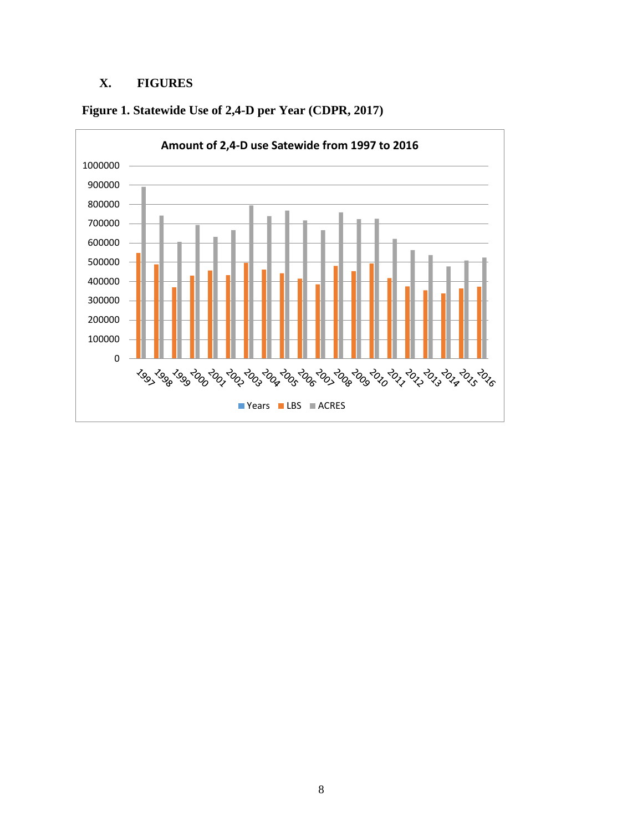# **X. FIGURES**



**Figure 1. Statewide Use of 2,4-D per Year (CDPR, 2017)**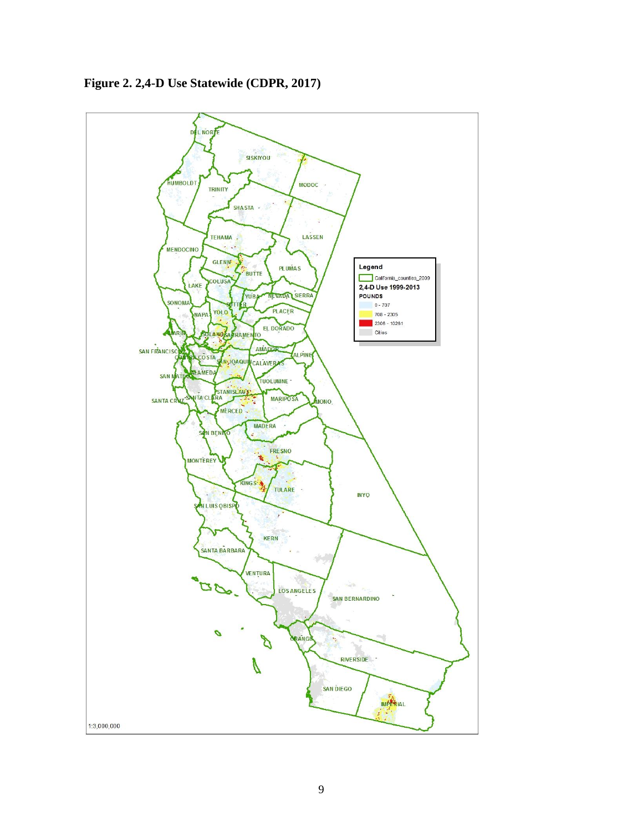

**Figure 2. 2,4-D Use Statewide (CDPR, 2017)**